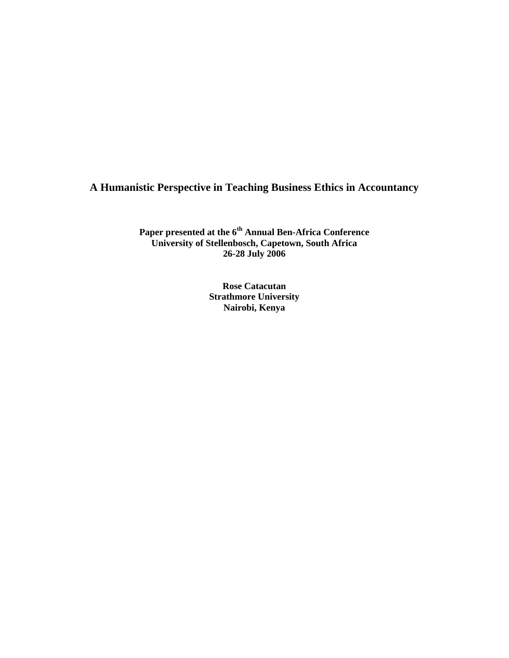# **A Humanistic Perspective in Teaching Business Ethics in Accountancy**

**Paper presented at the 6th Annual Ben-Africa Conference University of Stellenbosch, Capetown, South Africa 26-28 July 2006** 

> **Rose Catacutan Strathmore University Nairobi, Kenya**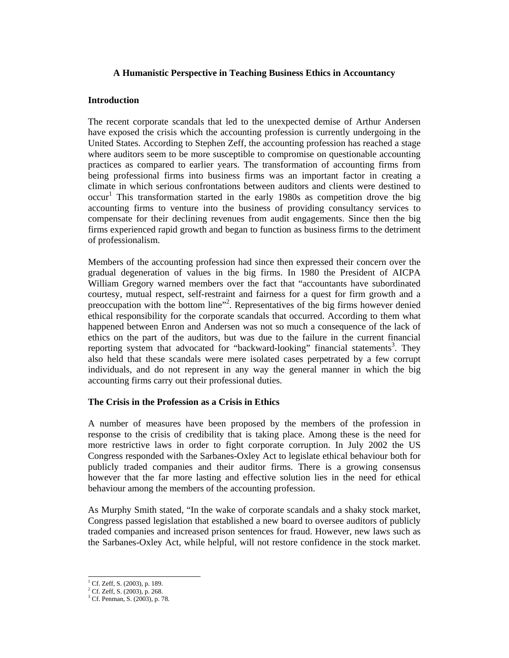### **A Humanistic Perspective in Teaching Business Ethics in Accountancy**

### **Introduction**

The recent corporate scandals that led to the unexpected demise of Arthur Andersen have exposed the crisis which the accounting profession is currently undergoing in the United States. According to Stephen Zeff, the accounting profession has reached a stage where auditors seem to be more susceptible to compromise on questionable accounting practices as compared to earlier years. The transformation of accounting firms from being professional firms into business firms was an important factor in creating a climate in which serious confrontations between auditors and clients were destined to  $\text{occur}^1$  This transformation started in the early 1980s as competition drove the big accounting firms to venture into the business of providing consultancy services to compensate for their declining revenues from audit engagements. Since then the big firms experienced rapid growth and began to function as business firms to the detriment of professionalism.

Members of the accounting profession had since then expressed their concern over the gradual degeneration of values in the big firms. In 1980 the President of AICPA William Gregory warned members over the fact that "accountants have subordinated courtesy, mutual respect, self-restraint and fairness for a quest for firm growth and a preoccupation with the bottom line"<sup>2</sup>. Representatives of the big firms however denied ethical responsibility for the corporate scandals that occurred. According to them what happened between Enron and Andersen was not so much a consequence of the lack of ethics on the part of the auditors, but was due to the failure in the current financial reporting system that advocated for "backward-looking" financial statements<sup>3</sup>. They also held that these scandals were mere isolated cases perpetrated by a few corrupt individuals, and do not represent in any way the general manner in which the big accounting firms carry out their professional duties.

## **The Crisis in the Profession as a Crisis in Ethics**

A number of measures have been proposed by the members of the profession in response to the crisis of credibility that is taking place. Among these is the need for more restrictive laws in order to fight corporate corruption. In July 2002 the US Congress responded with the Sarbanes-Oxley Act to legislate ethical behaviour both for publicly traded companies and their auditor firms. There is a growing consensus however that the far more lasting and effective solution lies in the need for ethical behaviour among the members of the accounting profession.

As Murphy Smith stated, "In the wake of corporate scandals and a shaky stock market, Congress passed legislation that established a new board to oversee auditors of publicly traded companies and increased prison sentences for fraud. However, new laws such as the Sarbanes-Oxley Act, while helpful, will not restore confidence in the stock market.

<sup>&</sup>lt;sup>1</sup> Cf. Zeff, S. (2003), p. 189.

<sup>2</sup> Cf. Zeff, S. (2003), p. 268.

<sup>3</sup> Cf. Penman, S. (2003), p. 78.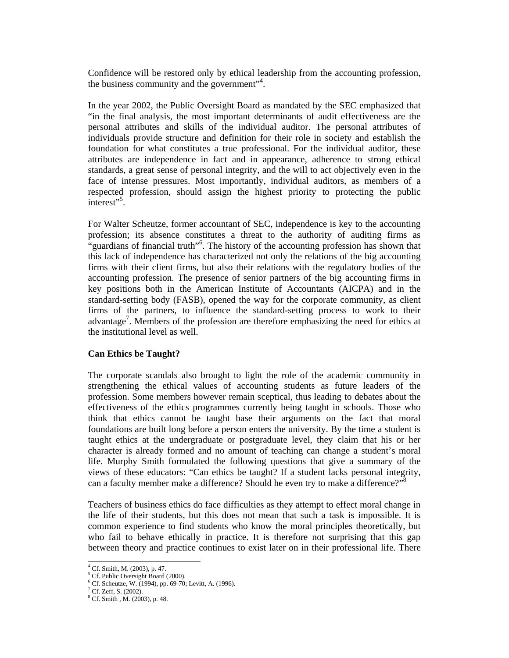Confidence will be restored only by ethical leadership from the accounting profession, the business community and the government"4 .

In the year 2002, the Public Oversight Board as mandated by the SEC emphasized that "in the final analysis, the most important determinants of audit effectiveness are the personal attributes and skills of the individual auditor. The personal attributes of individuals provide structure and definition for their role in society and establish the foundation for what constitutes a true professional. For the individual auditor, these attributes are independence in fact and in appearance, adherence to strong ethical standards, a great sense of personal integrity, and the will to act objectively even in the face of intense pressures. Most importantly, individual auditors, as members of a respected profession, should assign the highest priority to protecting the public interest"<sup>5</sup>.

For Walter Scheutze, former accountant of SEC, independence is key to the accounting profession; its absence constitutes a threat to the authority of auditing firms as "guardians of financial truth"<sup>6</sup> . The history of the accounting profession has shown that this lack of independence has characterized not only the relations of the big accounting firms with their client firms, but also their relations with the regulatory bodies of the accounting profession. The presence of senior partners of the big accounting firms in key positions both in the American Institute of Accountants (AICPA) and in the standard-setting body (FASB), opened the way for the corporate community, as client firms of the partners, to influence the standard-setting process to work to their advantage<sup>7</sup>. Members of the profession are therefore emphasizing the need for ethics at the institutional level as well.

### **Can Ethics be Taught?**

The corporate scandals also brought to light the role of the academic community in strengthening the ethical values of accounting students as future leaders of the profession. Some members however remain sceptical, thus leading to debates about the effectiveness of the ethics programmes currently being taught in schools. Those who think that ethics cannot be taught base their arguments on the fact that moral foundations are built long before a person enters the university. By the time a student is taught ethics at the undergraduate or postgraduate level, they claim that his or her character is already formed and no amount of teaching can change a student's moral life. Murphy Smith formulated the following questions that give a summary of the views of these educators: "Can ethics be taught? If a student lacks personal integrity, can a faculty member make a difference? Should he even try to make a difference?"<sup>8</sup>

Teachers of business ethics do face difficulties as they attempt to effect moral change in the life of their students, but this does not mean that such a task is impossible. It is common experience to find students who know the moral principles theoretically, but who fail to behave ethically in practice. It is therefore not surprising that this gap between theory and practice continues to exist later on in their professional life. There

 $\overline{a}$ 

<sup>4</sup> Cf. Smith, M. (2003), p. 47.

<sup>&</sup>lt;sup>5</sup> Cf. Public Oversight Board (2000).

<sup>6</sup> Cf. Scheutze, W. (1994), pp. 69-70; Levitt, A. (1996).

 $7^7$  Cf. Zeff, S. (2002).

<sup>8</sup> Cf. Smith , M. (2003), p. 48.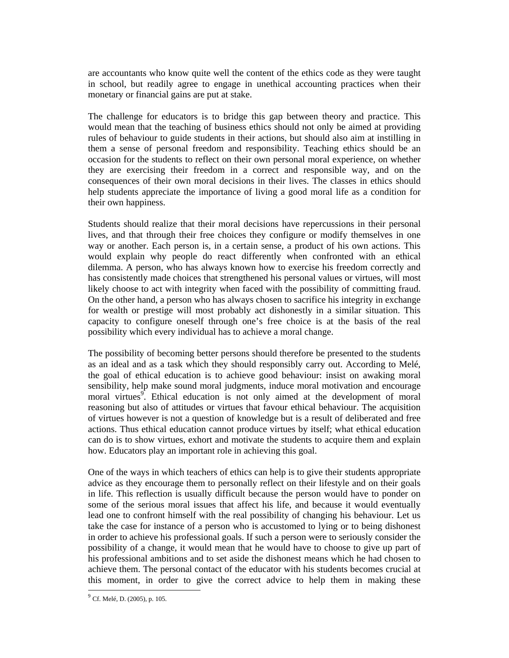are accountants who know quite well the content of the ethics code as they were taught in school, but readily agree to engage in unethical accounting practices when their monetary or financial gains are put at stake.

The challenge for educators is to bridge this gap between theory and practice. This would mean that the teaching of business ethics should not only be aimed at providing rules of behaviour to guide students in their actions, but should also aim at instilling in them a sense of personal freedom and responsibility. Teaching ethics should be an occasion for the students to reflect on their own personal moral experience, on whether they are exercising their freedom in a correct and responsible way, and on the consequences of their own moral decisions in their lives. The classes in ethics should help students appreciate the importance of living a good moral life as a condition for their own happiness.

Students should realize that their moral decisions have repercussions in their personal lives, and that through their free choices they configure or modify themselves in one way or another. Each person is, in a certain sense, a product of his own actions. This would explain why people do react differently when confronted with an ethical dilemma. A person, who has always known how to exercise his freedom correctly and has consistently made choices that strengthened his personal values or virtues, will most likely choose to act with integrity when faced with the possibility of committing fraud. On the other hand, a person who has always chosen to sacrifice his integrity in exchange for wealth or prestige will most probably act dishonestly in a similar situation. This capacity to configure oneself through one's free choice is at the basis of the real possibility which every individual has to achieve a moral change.

The possibility of becoming better persons should therefore be presented to the students as an ideal and as a task which they should responsibly carry out. According to Melé, the goal of ethical education is to achieve good behaviour: insist on awaking moral sensibility, help make sound moral judgments, induce moral motivation and encourage moral virtues<sup>9</sup>. Ethical education is not only aimed at the development of moral reasoning but also of attitudes or virtues that favour ethical behaviour. The acquisition of virtues however is not a question of knowledge but is a result of deliberated and free actions. Thus ethical education cannot produce virtues by itself; what ethical education can do is to show virtues, exhort and motivate the students to acquire them and explain how. Educators play an important role in achieving this goal.

One of the ways in which teachers of ethics can help is to give their students appropriate advice as they encourage them to personally reflect on their lifestyle and on their goals in life. This reflection is usually difficult because the person would have to ponder on some of the serious moral issues that affect his life, and because it would eventually lead one to confront himself with the real possibility of changing his behaviour. Let us take the case for instance of a person who is accustomed to lying or to being dishonest in order to achieve his professional goals. If such a person were to seriously consider the possibility of a change, it would mean that he would have to choose to give up part of his professional ambitions and to set aside the dishonest means which he had chosen to achieve them. The personal contact of the educator with his students becomes crucial at this moment, in order to give the correct advice to help them in making these

 $\overline{a}$ 

 $^{9}$  Cf. Melé, D. (2005), p. 105.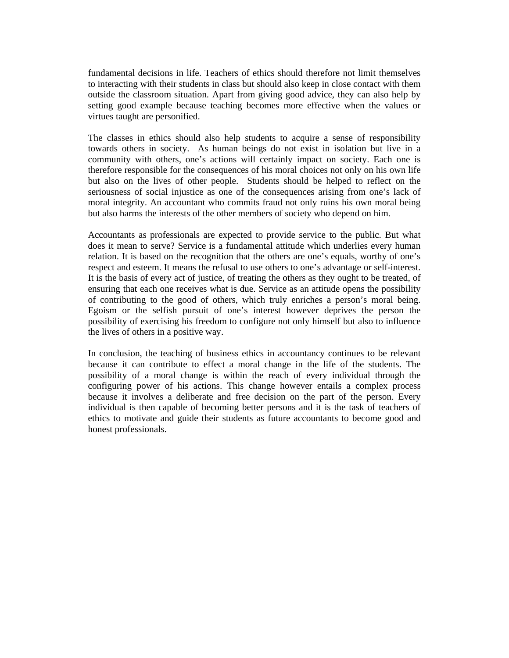fundamental decisions in life. Teachers of ethics should therefore not limit themselves to interacting with their students in class but should also keep in close contact with them outside the classroom situation. Apart from giving good advice, they can also help by setting good example because teaching becomes more effective when the values or virtues taught are personified.

The classes in ethics should also help students to acquire a sense of responsibility towards others in society. As human beings do not exist in isolation but live in a community with others, one's actions will certainly impact on society. Each one is therefore responsible for the consequences of his moral choices not only on his own life but also on the lives of other people. Students should be helped to reflect on the seriousness of social injustice as one of the consequences arising from one's lack of moral integrity. An accountant who commits fraud not only ruins his own moral being but also harms the interests of the other members of society who depend on him.

Accountants as professionals are expected to provide service to the public. But what does it mean to serve? Service is a fundamental attitude which underlies every human relation. It is based on the recognition that the others are one's equals, worthy of one's respect and esteem. It means the refusal to use others to one's advantage or self-interest. It is the basis of every act of justice, of treating the others as they ought to be treated, of ensuring that each one receives what is due. Service as an attitude opens the possibility of contributing to the good of others, which truly enriches a person's moral being. Egoism or the selfish pursuit of one's interest however deprives the person the possibility of exercising his freedom to configure not only himself but also to influence the lives of others in a positive way.

In conclusion, the teaching of business ethics in accountancy continues to be relevant because it can contribute to effect a moral change in the life of the students. The possibility of a moral change is within the reach of every individual through the configuring power of his actions. This change however entails a complex process because it involves a deliberate and free decision on the part of the person. Every individual is then capable of becoming better persons and it is the task of teachers of ethics to motivate and guide their students as future accountants to become good and honest professionals.